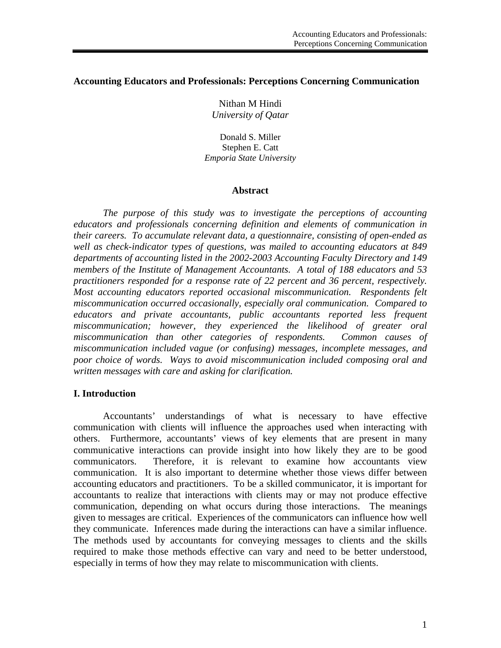#### **Accounting Educators and Professionals: Perceptions Concerning Communication**

Nithan M Hindi *University of Qatar* 

Donald S. Miller Stephen E. Catt *Emporia State University* 

#### **Abstract**

*The purpose of this study was to investigate the perceptions of accounting educators and professionals concerning definition and elements of communication in their careers. To accumulate relevant data, a questionnaire, consisting of open-ended as well as check-indicator types of questions, was mailed to accounting educators at 849 departments of accounting listed in the 2002-2003 Accounting Faculty Directory and 149 members of the Institute of Management Accountants. A total of 188 educators and 53 practitioners responded for a response rate of 22 percent and 36 percent, respectively. Most accounting educators reported occasional miscommunication. Respondents felt miscommunication occurred occasionally, especially oral communication. Compared to educators and private accountants, public accountants reported less frequent miscommunication; however, they experienced the likelihood of greater oral miscommunication than other categories of respondents. Common causes of miscommunication included vague (or confusing) messages, incomplete messages, and poor choice of words. Ways to avoid miscommunication included composing oral and written messages with care and asking for clarification.* 

### **I. Introduction**

Accountants' understandings of what is necessary to have effective communication with clients will influence the approaches used when interacting with others. Furthermore, accountants' views of key elements that are present in many communicative interactions can provide insight into how likely they are to be good communicators. Therefore, it is relevant to examine how accountants view communication. It is also important to determine whether those views differ between accounting educators and practitioners. To be a skilled communicator, it is important for accountants to realize that interactions with clients may or may not produce effective communication, depending on what occurs during those interactions. The meanings given to messages are critical. Experiences of the communicators can influence how well they communicate. Inferences made during the interactions can have a similar influence. The methods used by accountants for conveying messages to clients and the skills required to make those methods effective can vary and need to be better understood, especially in terms of how they may relate to miscommunication with clients.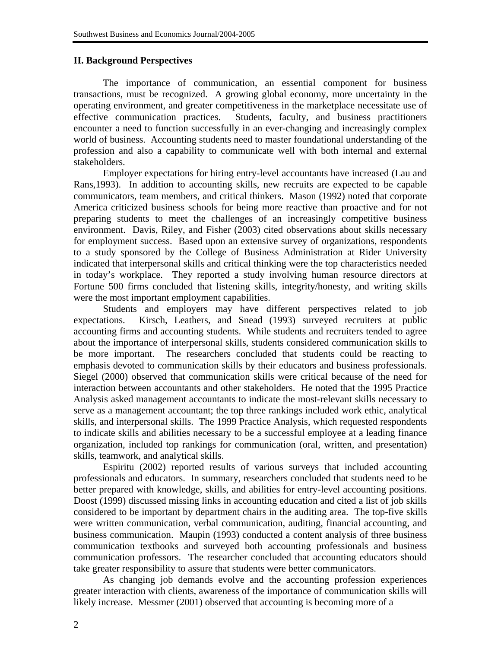### **II. Background Perspectives**

The importance of communication, an essential component for business transactions, must be recognized. A growing global economy, more uncertainty in the operating environment, and greater competitiveness in the marketplace necessitate use of effective communication practices. Students, faculty, and business practitioners encounter a need to function successfully in an ever-changing and increasingly complex world of business. Accounting students need to master foundational understanding of the profession and also a capability to communicate well with both internal and external stakeholders.

 Employer expectations for hiring entry-level accountants have increased (Lau and Rans,1993). In addition to accounting skills, new recruits are expected to be capable communicators, team members, and critical thinkers. Mason (1992) noted that corporate America criticized business schools for being more reactive than proactive and for not preparing students to meet the challenges of an increasingly competitive business environment. Davis, Riley, and Fisher (2003) cited observations about skills necessary for employment success. Based upon an extensive survey of organizations, respondents to a study sponsored by the College of Business Administration at Rider University indicated that interpersonal skills and critical thinking were the top characteristics needed in today's workplace. They reported a study involving human resource directors at Fortune 500 firms concluded that listening skills, integrity/honesty, and writing skills were the most important employment capabilities.

 Students and employers may have different perspectives related to job expectations. Kirsch, Leathers, and Snead (1993) surveyed recruiters at public accounting firms and accounting students. While students and recruiters tended to agree about the importance of interpersonal skills, students considered communication skills to be more important. The researchers concluded that students could be reacting to emphasis devoted to communication skills by their educators and business professionals. Siegel (2000) observed that communication skills were critical because of the need for interaction between accountants and other stakeholders. He noted that the 1995 Practice Analysis asked management accountants to indicate the most-relevant skills necessary to serve as a management accountant; the top three rankings included work ethic, analytical skills, and interpersonal skills. The 1999 Practice Analysis, which requested respondents to indicate skills and abilities necessary to be a successful employee at a leading finance organization, included top rankings for communication (oral, written, and presentation) skills, teamwork, and analytical skills.

 Espiritu (2002) reported results of various surveys that included accounting professionals and educators. In summary, researchers concluded that students need to be better prepared with knowledge, skills, and abilities for entry-level accounting positions. Doost (1999) discussed missing links in accounting education and cited a list of job skills considered to be important by department chairs in the auditing area. The top-five skills were written communication, verbal communication, auditing, financial accounting, and business communication. Maupin (1993) conducted a content analysis of three business communication textbooks and surveyed both accounting professionals and business communication professors. The researcher concluded that accounting educators should take greater responsibility to assure that students were better communicators.

 As changing job demands evolve and the accounting profession experiences greater interaction with clients, awareness of the importance of communication skills will likely increase. Messmer (2001) observed that accounting is becoming more of a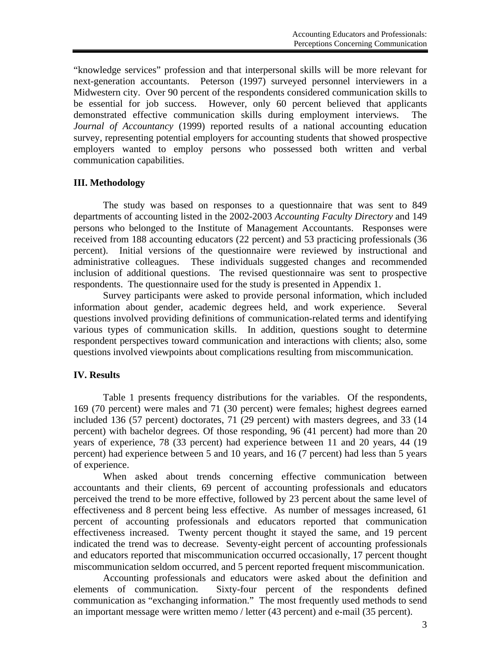"knowledge services" profession and that interpersonal skills will be more relevant for next-generation accountants. Peterson (1997) surveyed personnel interviewers in a Midwestern city. Over 90 percent of the respondents considered communication skills to be essential for job success. However, only 60 percent believed that applicants demonstrated effective communication skills during employment interviews. The *Journal of Accountancy* (1999) reported results of a national accounting education survey, representing potential employers for accounting students that showed prospective employers wanted to employ persons who possessed both written and verbal communication capabilities.

## **III. Methodology**

The study was based on responses to a questionnaire that was sent to 849 departments of accounting listed in the 2002-2003 *Accounting Faculty Directory* and 149 persons who belonged to the Institute of Management Accountants. Responses were received from 188 accounting educators (22 percent) and 53 practicing professionals (36 percent). Initial versions of the questionnaire were reviewed by instructional and administrative colleagues. These individuals suggested changes and recommended inclusion of additional questions. The revised questionnaire was sent to prospective respondents. The questionnaire used for the study is presented in Appendix 1.

Survey participants were asked to provide personal information, which included information about gender, academic degrees held, and work experience. Several questions involved providing definitions of communication-related terms and identifying various types of communication skills. In addition, questions sought to determine respondent perspectives toward communication and interactions with clients; also, some questions involved viewpoints about complications resulting from miscommunication.

### **IV. Results**

 Table 1 presents frequency distributions for the variables. Of the respondents, 169 (70 percent) were males and 71 (30 percent) were females; highest degrees earned included 136 (57 percent) doctorates, 71 (29 percent) with masters degrees, and 33 (14 percent) with bachelor degrees. Of those responding, 96 (41 percent) had more than 20 years of experience, 78 (33 percent) had experience between 11 and 20 years, 44 (19 percent) had experience between 5 and 10 years, and 16 (7 percent) had less than 5 years of experience.

 When asked about trends concerning effective communication between accountants and their clients, 69 percent of accounting professionals and educators perceived the trend to be more effective, followed by 23 percent about the same level of effectiveness and 8 percent being less effective. As number of messages increased, 61 percent of accounting professionals and educators reported that communication effectiveness increased. Twenty percent thought it stayed the same, and 19 percent indicated the trend was to decrease. Seventy-eight percent of accounting professionals and educators reported that miscommunication occurred occasionally, 17 percent thought miscommunication seldom occurred, and 5 percent reported frequent miscommunication.

 Accounting professionals and educators were asked about the definition and elements of communication. Sixty-four percent of the respondents defined communication as "exchanging information." The most frequently used methods to send an important message were written memo / letter (43 percent) and e-mail (35 percent).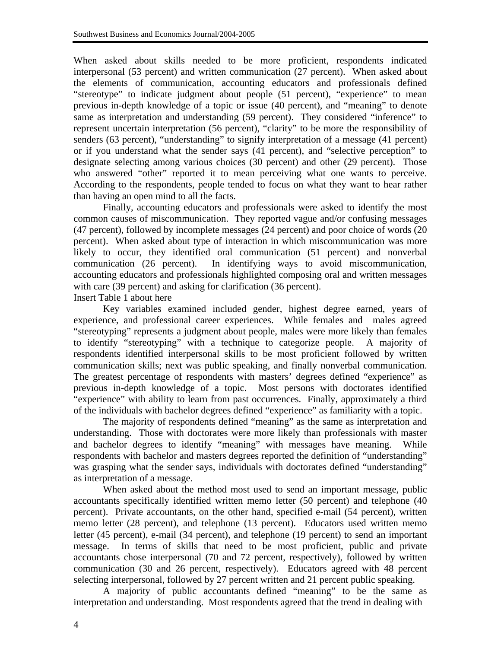When asked about skills needed to be more proficient, respondents indicated interpersonal (53 percent) and written communication (27 percent). When asked about the elements of communication, accounting educators and professionals defined "stereotype" to indicate judgment about people (51 percent), "experience" to mean previous in-depth knowledge of a topic or issue (40 percent), and "meaning" to denote same as interpretation and understanding (59 percent). They considered "inference" to represent uncertain interpretation (56 percent), "clarity" to be more the responsibility of senders (63 percent), "understanding" to signify interpretation of a message (41 percent) or if you understand what the sender says (41 percent), and "selective perception" to designate selecting among various choices (30 percent) and other (29 percent). Those who answered "other" reported it to mean perceiving what one wants to perceive. According to the respondents, people tended to focus on what they want to hear rather than having an open mind to all the facts.

 Finally, accounting educators and professionals were asked to identify the most common causes of miscommunication. They reported vague and/or confusing messages (47 percent), followed by incomplete messages (24 percent) and poor choice of words (20 percent). When asked about type of interaction in which miscommunication was more likely to occur, they identified oral communication (51 percent) and nonverbal communication (26 percent). In identifying ways to avoid miscommunication, accounting educators and professionals highlighted composing oral and written messages with care (39 percent) and asking for clarification (36 percent).

Insert Table 1 about here

 Key variables examined included gender, highest degree earned, years of experience, and professional career experiences. While females and males agreed "stereotyping" represents a judgment about people, males were more likely than females to identify "stereotyping" with a technique to categorize people. A majority of respondents identified interpersonal skills to be most proficient followed by written communication skills; next was public speaking, and finally nonverbal communication. The greatest percentage of respondents with masters' degrees defined "experience" as previous in-depth knowledge of a topic. Most persons with doctorates identified "experience" with ability to learn from past occurrences. Finally, approximately a third of the individuals with bachelor degrees defined "experience" as familiarity with a topic.

 The majority of respondents defined "meaning" as the same as interpretation and understanding. Those with doctorates were more likely than professionals with master and bachelor degrees to identify "meaning" with messages have meaning. While respondents with bachelor and masters degrees reported the definition of "understanding" was grasping what the sender says, individuals with doctorates defined "understanding" as interpretation of a message.

 When asked about the method most used to send an important message, public accountants specifically identified written memo letter (50 percent) and telephone (40 percent). Private accountants, on the other hand, specified e-mail (54 percent), written memo letter (28 percent), and telephone (13 percent). Educators used written memo letter (45 percent), e-mail (34 percent), and telephone (19 percent) to send an important message. In terms of skills that need to be most proficient, public and private accountants chose interpersonal (70 and 72 percent, respectively), followed by written communication (30 and 26 percent, respectively). Educators agreed with 48 percent selecting interpersonal, followed by 27 percent written and 21 percent public speaking.

 A majority of public accountants defined "meaning" to be the same as interpretation and understanding. Most respondents agreed that the trend in dealing with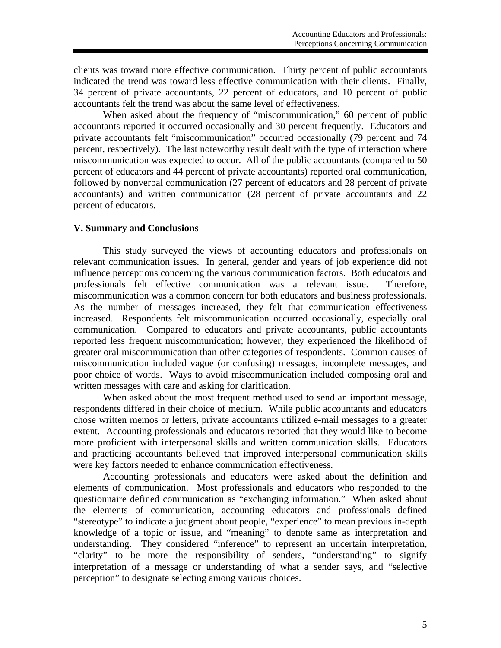clients was toward more effective communication. Thirty percent of public accountants indicated the trend was toward less effective communication with their clients. Finally, 34 percent of private accountants, 22 percent of educators, and 10 percent of public accountants felt the trend was about the same level of effectiveness.

When asked about the frequency of "miscommunication," 60 percent of public accountants reported it occurred occasionally and 30 percent frequently. Educators and private accountants felt "miscommunication" occurred occasionally (79 percent and 74 percent, respectively). The last noteworthy result dealt with the type of interaction where miscommunication was expected to occur. All of the public accountants (compared to 50 percent of educators and 44 percent of private accountants) reported oral communication, followed by nonverbal communication (27 percent of educators and 28 percent of private accountants) and written communication (28 percent of private accountants and 22 percent of educators.

### **V. Summary and Conclusions**

 This study surveyed the views of accounting educators and professionals on relevant communication issues. In general, gender and years of job experience did not influence perceptions concerning the various communication factors. Both educators and professionals felt effective communication was a relevant issue. Therefore, miscommunication was a common concern for both educators and business professionals. As the number of messages increased, they felt that communication effectiveness increased. Respondents felt miscommunication occurred occasionally, especially oral communication. Compared to educators and private accountants, public accountants reported less frequent miscommunication; however, they experienced the likelihood of greater oral miscommunication than other categories of respondents. Common causes of miscommunication included vague (or confusing) messages, incomplete messages, and poor choice of words. Ways to avoid miscommunication included composing oral and written messages with care and asking for clarification.

 When asked about the most frequent method used to send an important message, respondents differed in their choice of medium. While public accountants and educators chose written memos or letters, private accountants utilized e-mail messages to a greater extent. Accounting professionals and educators reported that they would like to become more proficient with interpersonal skills and written communication skills. Educators and practicing accountants believed that improved interpersonal communication skills were key factors needed to enhance communication effectiveness.

 Accounting professionals and educators were asked about the definition and elements of communication. Most professionals and educators who responded to the questionnaire defined communication as "exchanging information." When asked about the elements of communication, accounting educators and professionals defined "stereotype" to indicate a judgment about people, "experience" to mean previous in-depth knowledge of a topic or issue, and "meaning" to denote same as interpretation and understanding. They considered "inference" to represent an uncertain interpretation, "clarity" to be more the responsibility of senders, "understanding" to signify interpretation of a message or understanding of what a sender says, and "selective perception" to designate selecting among various choices.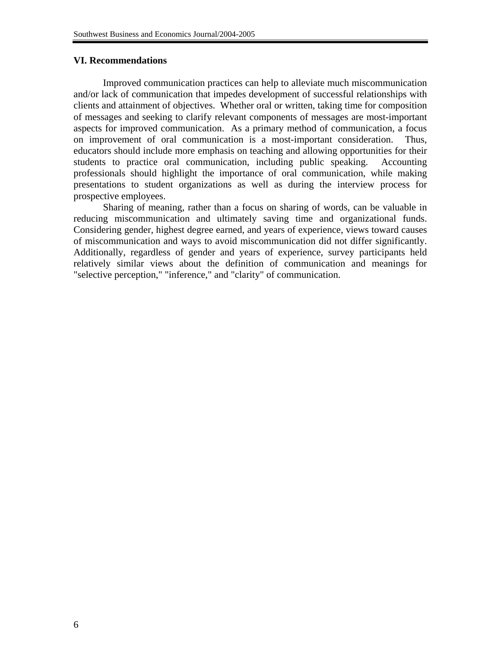## **VI. Recommendations**

Improved communication practices can help to alleviate much miscommunication and/or lack of communication that impedes development of successful relationships with clients and attainment of objectives. Whether oral or written, taking time for composition of messages and seeking to clarify relevant components of messages are most-important aspects for improved communication. As a primary method of communication, a focus on improvement of oral communication is a most-important consideration. Thus, educators should include more emphasis on teaching and allowing opportunities for their students to practice oral communication, including public speaking. Accounting professionals should highlight the importance of oral communication, while making presentations to student organizations as well as during the interview process for prospective employees.

 Sharing of meaning, rather than a focus on sharing of words, can be valuable in reducing miscommunication and ultimately saving time and organizational funds. Considering gender, highest degree earned, and years of experience, views toward causes of miscommunication and ways to avoid miscommunication did not differ significantly. Additionally, regardless of gender and years of experience, survey participants held relatively similar views about the definition of communication and meanings for "selective perception," "inference," and "clarity" of communication.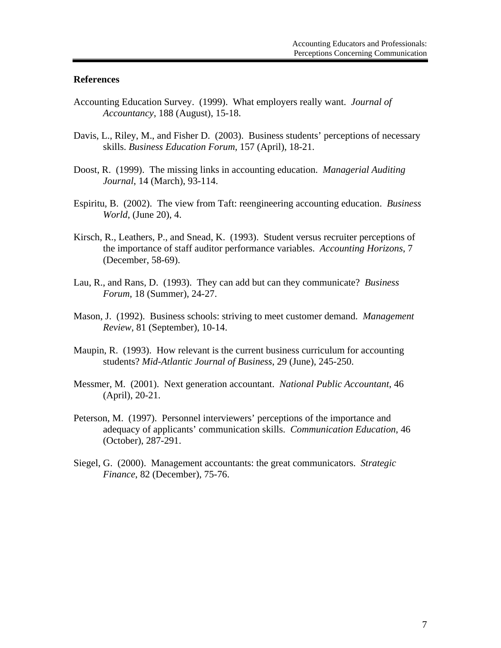#### **References**

- Accounting Education Survey. (1999). What employers really want. *Journal of Accountancy*, 188 (August), 15-18.
- Davis, L., Riley, M., and Fisher D. (2003). Business students' perceptions of necessary skills. *Business Education Forum*, 157 (April), 18-21.
- Doost, R. (1999). The missing links in accounting education. *Managerial Auditing Journal*, 14 (March), 93-114.
- Espiritu, B. (2002). The view from Taft: reengineering accounting education. *Business World*, (June 20), 4.
- Kirsch, R., Leathers, P., and Snead, K. (1993). Student versus recruiter perceptions of the importance of staff auditor performance variables. *Accounting Horizons*, 7 (December, 58-69).
- Lau, R., and Rans, D. (1993). They can add but can they communicate? *Business Forum*, 18 (Summer), 24-27.
- Mason, J. (1992). Business schools: striving to meet customer demand. *Management Review*, 81 (September), 10-14.
- Maupin, R. (1993). How relevant is the current business curriculum for accounting students? *Mid-Atlantic Journal of Business*, 29 (June), 245-250.
- Messmer, M. (2001). Next generation accountant. *National Public Accountant*, 46 (April), 20-21.
- Peterson, M. (1997). Personnel interviewers' perceptions of the importance and adequacy of applicants' communication skills. *Communication Education*, 46 (October), 287-291.
- Siegel, G. (2000). Management accountants: the great communicators. *Strategic Finance*, 82 (December), 75-76.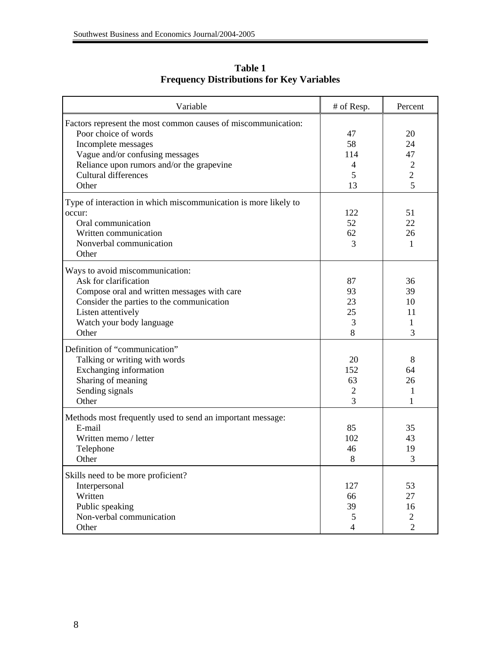| Variable                                                                                                                                                                                                                             | # of Resp.                             | Percent                                                 |
|--------------------------------------------------------------------------------------------------------------------------------------------------------------------------------------------------------------------------------------|----------------------------------------|---------------------------------------------------------|
| Factors represent the most common causes of miscommunication:<br>Poor choice of words<br>Incomplete messages<br>Vague and/or confusing messages<br>Reliance upon rumors and/or the grapevine<br><b>Cultural differences</b><br>Other | 47<br>58<br>114<br>4<br>5<br>13        | 20<br>24<br>47<br>$\overline{2}$<br>$\overline{2}$<br>5 |
| Type of interaction in which miscommunication is more likely to<br>occur:<br>Oral communication<br>Written communication<br>Nonverbal communication<br>Other                                                                         | 122<br>52<br>62<br>3                   | 51<br>22<br>26<br>1                                     |
| Ways to avoid miscommunication:<br>Ask for clarification<br>Compose oral and written messages with care<br>Consider the parties to the communication<br>Listen attentively<br>Watch your body language<br>Other                      | 87<br>93<br>23<br>25<br>3<br>8         | 36<br>39<br>10<br>11<br>1<br>3                          |
| Definition of "communication"<br>Talking or writing with words<br>Exchanging information<br>Sharing of meaning<br>Sending signals<br>Other                                                                                           | 20<br>152<br>63<br>$\overline{2}$<br>3 | 8<br>64<br>26<br>1<br>1                                 |
| Methods most frequently used to send an important message:<br>E-mail<br>Written memo / letter<br>Telephone<br>Other                                                                                                                  | 85<br>102<br>46<br>8                   | 35<br>43<br>19<br>3                                     |
| Skills need to be more proficient?<br>Interpersonal<br>Written<br>Public speaking<br>Non-verbal communication<br>Other                                                                                                               | 127<br>66<br>39<br>5<br>4              | 53<br>27<br>16<br>$\overline{2}$<br>$\overline{2}$      |

**Table 1 Frequency Distributions for Key Variables**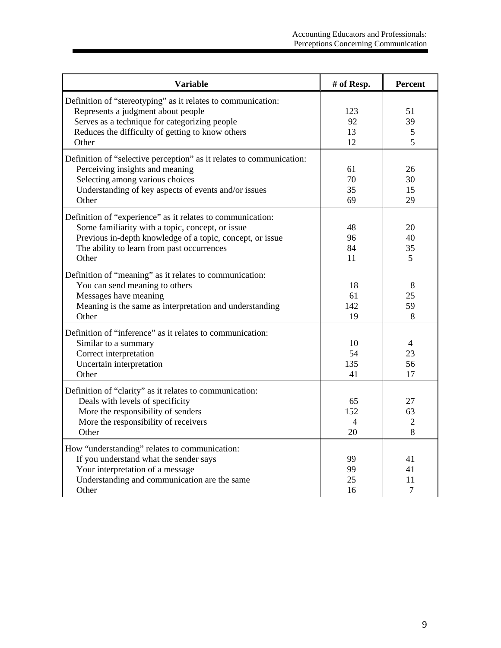| <b>Variable</b>                                                                                                                                                                                                                    | # of Resp.            | Percent                         |
|------------------------------------------------------------------------------------------------------------------------------------------------------------------------------------------------------------------------------------|-----------------------|---------------------------------|
| Definition of "stereotyping" as it relates to communication:<br>Represents a judgment about people<br>Serves as a technique for categorizing people<br>Reduces the difficulty of getting to know others<br>Other                   | 123<br>92<br>13<br>12 | 51<br>39<br>5<br>5              |
| Definition of "selective perception" as it relates to communication:<br>Perceiving insights and meaning<br>Selecting among various choices<br>Understanding of key aspects of events and/or issues<br>Other                        | 61<br>70<br>35<br>69  | 26<br>30<br>15<br>29            |
| Definition of "experience" as it relates to communication:<br>Some familiarity with a topic, concept, or issue<br>Previous in-depth knowledge of a topic, concept, or issue<br>The ability to learn from past occurrences<br>Other | 48<br>96<br>84<br>11  | 20<br>40<br>35<br>5             |
| Definition of "meaning" as it relates to communication:<br>You can send meaning to others<br>Messages have meaning<br>Meaning is the same as interpretation and understanding<br>Other                                             | 18<br>61<br>142<br>19 | 8<br>25<br>59<br>8              |
| Definition of "inference" as it relates to communication:<br>Similar to a summary<br>Correct interpretation<br>Uncertain interpretation<br>Other                                                                                   | 10<br>54<br>135<br>41 | 4<br>23<br>56<br>17             |
| Definition of "clarity" as it relates to communication:<br>Deals with levels of specificity<br>More the responsibility of senders<br>More the responsibility of receivers<br>Other                                                 | 65<br>152<br>4<br>20  | 27<br>63<br>$\overline{2}$<br>8 |
| How "understanding" relates to communication:<br>If you understand what the sender says<br>Your interpretation of a message<br>Understanding and communication are the same<br>Other                                               | 99<br>99<br>25<br>16  | 41<br>41<br>11<br>7             |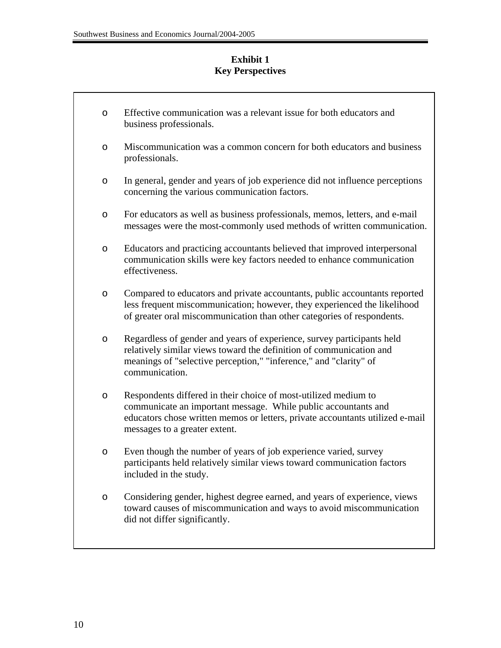# **Exhibit 1 Key Perspectives**

| $\circ$ | Effective communication was a relevant issue for both educators and<br>business professionals.                                                                                                                                                      |
|---------|-----------------------------------------------------------------------------------------------------------------------------------------------------------------------------------------------------------------------------------------------------|
| $\circ$ | Miscommunication was a common concern for both educators and business<br>professionals.                                                                                                                                                             |
| $\circ$ | In general, gender and years of job experience did not influence perceptions<br>concerning the various communication factors.                                                                                                                       |
| $\circ$ | For educators as well as business professionals, memos, letters, and e-mail<br>messages were the most-commonly used methods of written communication.                                                                                               |
| $\circ$ | Educators and practicing accountants believed that improved interpersonal<br>communication skills were key factors needed to enhance communication<br>effectiveness.                                                                                |
| $\circ$ | Compared to educators and private accountants, public accountants reported<br>less frequent miscommunication; however, they experienced the likelihood<br>of greater oral miscommunication than other categories of respondents.                    |
| $\circ$ | Regardless of gender and years of experience, survey participants held<br>relatively similar views toward the definition of communication and<br>meanings of "selective perception," "inference," and "clarity" of<br>communication.                |
| $\circ$ | Respondents differed in their choice of most-utilized medium to<br>communicate an important message. While public accountants and<br>educators chose written memos or letters, private accountants utilized e-mail<br>messages to a greater extent. |
| $\circ$ | Even though the number of years of job experience varied, survey<br>participants held relatively similar views toward communication factors<br>included in the study.                                                                               |
| O       | Considering gender, highest degree earned, and years of experience, views<br>toward causes of miscommunication and ways to avoid miscommunication<br>did not differ significantly.                                                                  |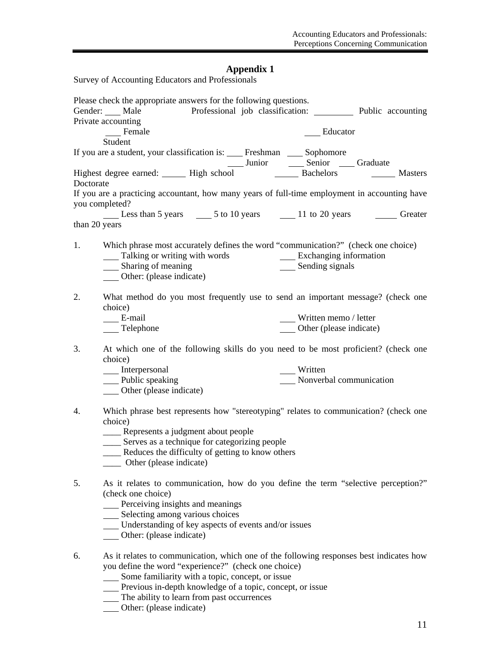# **Appendix 1**

Survey of Accounting Educators and Professionals

|               | Please check the appropriate answers for the following questions.<br>Professional job classification: __________ Public accounting<br>Gender: Male |  |                         |  |
|---------------|----------------------------------------------------------------------------------------------------------------------------------------------------|--|-------------------------|--|
|               | Private accounting                                                                                                                                 |  |                         |  |
|               | ___ Female                                                                                                                                         |  | Educator                |  |
|               | Student                                                                                                                                            |  |                         |  |
|               | If you are a student, your classification is: ____ Freshman ____ Sophomore                                                                         |  | Junior Senior Graduate  |  |
| Doctorate     | Highest degree earned: ______ High school ________ Bachelors _______ Masters                                                                       |  |                         |  |
|               | If you are a practicing accountant, how many years of full-time employment in accounting have<br>you completed?                                    |  |                         |  |
|               |                                                                                                                                                    |  |                         |  |
| than 20 years |                                                                                                                                                    |  |                         |  |
|               |                                                                                                                                                    |  |                         |  |
| 1.            | Which phrase most accurately defines the word "communication?" (check one choice)                                                                  |  |                         |  |
|               | Sharing of meaning<br>Other: (please indicate)                                                                                                     |  | ____ Sending signals    |  |
| 2.            | What method do you most frequently use to send an important message? (check one<br>choice)                                                         |  |                         |  |
|               | E-mail                                                                                                                                             |  | Written memo / letter   |  |
|               | Telephone                                                                                                                                          |  | Other (please indicate) |  |
| 3.            | At which one of the following skills do you need to be most proficient? (check one<br>choice)                                                      |  |                         |  |
|               | ___ Interpersonal                                                                                                                                  |  | __ Written              |  |
|               | <b>Public speaking</b>                                                                                                                             |  | Nonverbal communication |  |
|               | Other (please indicate)                                                                                                                            |  |                         |  |
| 4.            | Which phrase best represents how "stereotyping" relates to communication? (check one<br>choice)                                                    |  |                         |  |
|               | ____ Represents a judgment about people                                                                                                            |  |                         |  |
|               | _____ Serves as a technique for categorizing people                                                                                                |  |                         |  |
|               | ____ Reduces the difficulty of getting to know others                                                                                              |  |                         |  |
|               | Other (please indicate)                                                                                                                            |  |                         |  |
| 5.            | As it relates to communication, how do you define the term "selective perception?"<br>(check one choice)                                           |  |                         |  |
|               | Perceiving insights and meanings<br>Selecting among various choices<br>Understanding of key aspects of events and/or issues                        |  |                         |  |
|               |                                                                                                                                                    |  |                         |  |
|               |                                                                                                                                                    |  |                         |  |
|               | Other: (please indicate)                                                                                                                           |  |                         |  |
| 6.            | As it relates to communication, which one of the following responses best indicates how                                                            |  |                         |  |
|               | you define the word "experience?" (check one choice)                                                                                               |  |                         |  |
|               | Some familiarity with a topic, concept, or issue                                                                                                   |  |                         |  |
|               | Previous in-depth knowledge of a topic, concept, or issue                                                                                          |  |                         |  |
|               | The ability to learn from past occurrences                                                                                                         |  |                         |  |

Other: (please indicate)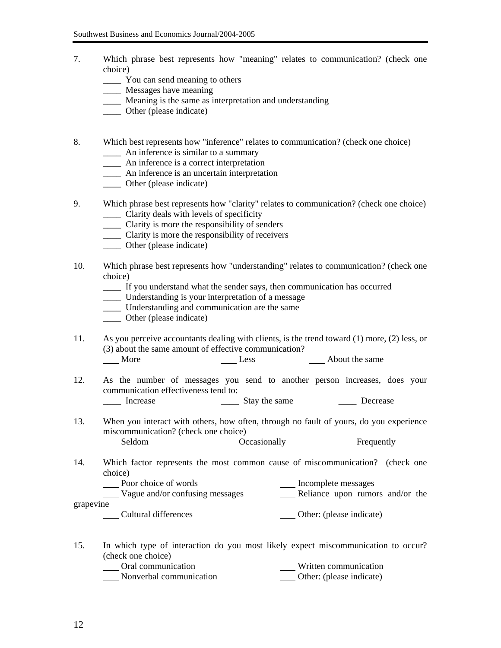- 7. Which phrase best represents how "meaning" relates to communication? (check one choice)
	- \_\_\_\_ You can send meaning to others
	- \_\_\_\_ Messages have meaning
	- \_\_\_\_ Meaning is the same as interpretation and understanding
	- \_\_\_\_ Other (please indicate)
- 8. Which best represents how "inference" relates to communication? (check one choice) \_\_\_\_ An inference is similar to a summary
	- \_\_\_\_ An inference is a correct interpretation
	- \_\_\_\_ An inference is an uncertain interpretation
	- \_\_\_\_ Other (please indicate)
- 9. Which phrase best represents how "clarity" relates to communication? (check one choice) \_\_\_\_ Clarity deals with levels of specificity
	- \_\_\_\_ Clarity is more the responsibility of senders
	- \_\_\_\_ Clarity is more the responsibility of receivers
	- \_\_\_\_ Other (please indicate)
- 10. Which phrase best represents how "understanding" relates to communication? (check one choice)
	- \_\_\_\_ If you understand what the sender says, then communication has occurred
	- \_\_\_\_ Understanding is your interpretation of a message
	- \_\_\_\_ Understanding and communication are the same
	- \_\_\_\_ Other (please indicate)
- 11. As you perceive accountants dealing with clients, is the trend toward (1) more, (2) less, or (3) about the same amount of effective communication?<br>
<u>Less</u>

About the same

- 12. As the number of messages you send to another person increases, does your communication effectiveness tend to: \_\_\_\_ Increase \_\_\_\_ Stay the same \_\_\_\_ Decrease
- 13. When you interact with others, how often, through no fault of yours, do you experience miscommunication? (check one choice)<br>Seldom Oc

Constitutionally Exemple 1 and Selection Selection Selection Selection Selection Selection Selection Selection Selection Selection Selection Selection Selection Selection Selection Selection Selection Selection Selection S

14. Which factor represents the most common cause of miscommunication? (check one choice)

|           | Poor choice of words            | Incomplete messages             |  |  |  |
|-----------|---------------------------------|---------------------------------|--|--|--|
|           | Vague and/or confusing messages | Reliance upon rumors and/or the |  |  |  |
| grapevine |                                 |                                 |  |  |  |

Cultural differences Cultural differences Cultural entry Cultural entry Cultural entry Cultural entry Cultural entry Cultural entry Cultural entry Cultural entry Cultural entry Cultural entry Cultural entry Cultural entry

15. In which type of interaction do you most likely expect miscommunication to occur? (check one choice)

| Oral communication      | Written communication    |
|-------------------------|--------------------------|
| Nonverbal communication | Other: (please indicate) |